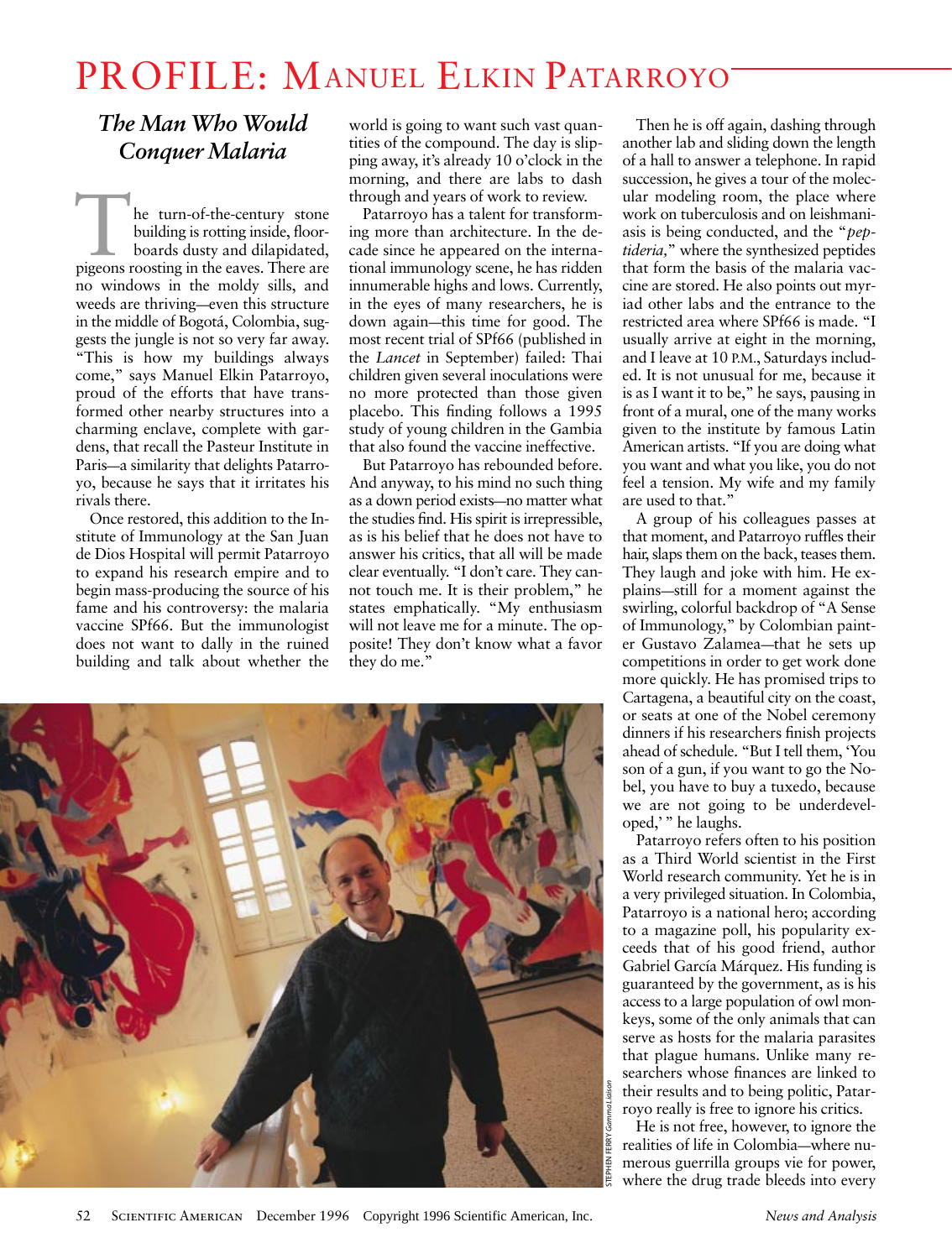## PROFILE: MANUEL ELKIN PATARROYO

## *The Man Who Would Conquer Malaria*

The turn-of-the-century stone<br>building is rotting inside, floor-<br>boards dusty and dilapidated,<br>pigeons roosting in the eaves. There are building is rotting inside, floorboards dusty and dilapidated, no windows in the moldy sills, and weeds are thriving—even this structure in the middle of Bogotá, Colombia, suggests the jungle is not so very far away. "This is how my buildings always come," says Manuel Elkin Patarroyo, proud of the efforts that have transformed other nearby structures into a charming enclave, complete with gardens, that recall the Pasteur Institute in Paris—a similarity that delights Patarroyo, because he says that it irritates his rivals there.

Once restored, this addition to the Institute of Immunology at the San Juan de Dios Hospital will permit Patarroyo to expand his research empire and to begin mass-producing the source of his fame and his controversy: the malaria vaccine SPf66. But the immunologist does not want to dally in the ruined building and talk about whether the

world is going to want such vast quantities of the compound. The day is slipping away, it's already 10 o'clock in the morning, and there are labs to dash through and years of work to review.

Patarroyo has a talent for transforming more than architecture. In the decade since he appeared on the international immunology scene, he has ridden innumerable highs and lows. Currently, in the eyes of many researchers, he is down again—this time for good. The most recent trial of SPf66 (published in the *Lancet* in September) failed: Thai children given several inoculations were no more protected than those given placebo. This finding follows a 1995 study of young children in the Gambia that also found the vaccine ineffective.

But Patarroyo has rebounded before. And anyway, to his mind no such thing as a down period exists—no matter what the studies find. His spirit is irrepressible, as is his belief that he does not have to answer his critics, that all will be made clear eventually. "I don't care. They cannot touch me. It is their problem," he states emphatically. "My enthusiasm will not leave me for a minute. The opposite! They don't know what a favor they do me."

Then he is off again, dashing through another lab and sliding down the length of a hall to answer a telephone. In rapid succession, he gives a tour of the molecular modeling room, the place where work on tuberculosis and on leishmaniasis is being conducted, and the "*peptideria,*" where the synthesized peptides that form the basis of the malaria vaccine are stored. He also points out myriad other labs and the entrance to the restricted area where SPf66 is made. "I usually arrive at eight in the morning, and I leave at 10 P.M., Saturdays included. It is not unusual for me, because it is as I want it to be," he says, pausing in front of a mural, one of the many works given to the institute by famous Latin American artists. "If you are doing what you want and what you like, you do not feel a tension. My wife and my family are used to that."

A group of his colleagues passes at that moment, and Patarroyo ruffles their hair, slaps them on the back, teases them. They laugh and joke with him. He explains—still for a moment against the swirling, colorful backdrop of "A Sense of Immunology," by Colombian painter Gustavo Zalamea—that he sets up competitions in order to get work done more quickly. He has promised trips to Cartagena, a beautiful city on the coast, or seats at one of the Nobel ceremony dinners if his researchers finish projects ahead of schedule. "But I tell them, 'You son of a gun, if you want to go the Nobel, you have to buy a tuxedo, because we are not going to be underdeveloped,' " he laughs.

Patarroyo refers often to his position as a Third World scientist in the First World research community. Yet he is in a very privileged situation. In Colombia, Patarroyo is a national hero; according to a magazine poll, his popularity exceeds that of his good friend, author Gabriel García Márquez. His funding is guaranteed by the government, as is his access to a large population of owl monkeys, some of the only animals that can serve as hosts for the malaria parasites that plague humans. Unlike many researchers whose finances are linked to their results and to being politic, Patarroyo really is free to ignore his critics.

He is not free, however, to ignore the realities of life in Colombia—where numerous guerrilla groups vie for power, where the drug trade bleeds into every